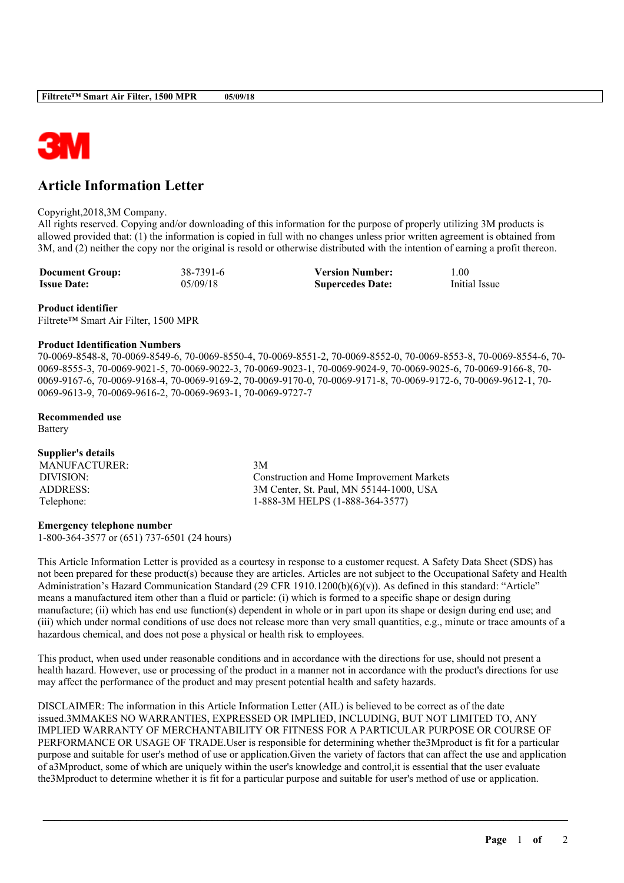

# **Article Information Letter**

#### Copyright,2018,3M Company.

All rights reserved. Copying and/or downloading of this information for the purpose of properly utilizing 3M products is allowed provided that: (1) the information is copied in full with no changes unless prior written agreement is obtained from 3M, and (2) neither the copy nor the original is resold or otherwise distributed with the intention of earning a profit thereon.

**Document Group:** 38-7391-6 **Version Number:** 1.00<br> **Issue Date:** 05/09/18 **Supercedes Date:** Initial Issue **Supercedes Date:** 

#### **Product identifier**

Filtrete™ Smart Air Filter, 1500 MPR

#### **Product Identification Numbers**

70-0069-8548-8, 70-0069-8549-6, 70-0069-8550-4, 70-0069-8551-2, 70-0069-8552-0, 70-0069-8553-8, 70-0069-8554-6, 70- 0069-8555-3, 70-0069-9021-5, 70-0069-9022-3, 70-0069-9023-1, 70-0069-9024-9, 70-0069-9025-6, 70-0069-9166-8, 70- 0069-9167-6, 70-0069-9168-4, 70-0069-9169-2, 70-0069-9170-0, 70-0069-9171-8, 70-0069-9172-6, 70-0069-9612-1, 70- 0069-9613-9, 70-0069-9616-2, 70-0069-9693-1, 70-0069-9727-7

#### **Recommended use**

Battery

| Supplier's details |                                           |
|--------------------|-------------------------------------------|
| MANUFACTURER:      | 3M                                        |
| DIVISION:          | Construction and Home Improvement Markets |
| ADDRESS:           | 3M Center, St. Paul, MN 55144-1000, USA   |
| Telephone:         | 1-888-3M HELPS (1-888-364-3577)           |

## **Emergency telephone number**

1-800-364-3577 or (651) 737-6501 (24 hours)

This Article Information Letter is provided as a courtesy in response to a customer request. A Safety Data Sheet (SDS) has not been prepared for these product(s) because they are articles. Articles are not subject to the Occupational Safety and Health Administration's Hazard Communication Standard (29 CFR 1910.1200(b)(6)(v)). As defined in this standard: "Article" means a manufactured item other than a fluid or particle: (i) which is formed to a specific shape or design during manufacture; (ii) which has end use function(s) dependent in whole or in part upon its shape or design during end use; and (iii) which under normal conditions of use does not release more than very small quantities, e.g., minute or trace amounts of a hazardous chemical, and does not pose a physical or health risk to employees.

This product, when used under reasonable conditions and in accordance with the directions for use, should not present a health hazard. However, use or processing of the product in a manner not in accordance with the product's directions for use may affect the performance of the product and may present potential health and safety hazards.

DISCLAIMER: The information in this Article Information Letter (AIL) is believed to be correct as of the date issued.3MMAKES NO WARRANTIES, EXPRESSED OR IMPLIED, INCLUDING, BUT NOT LIMITED TO, ANY IMPLIED WARRANTY OF MERCHANTABILITY OR FITNESS FOR A PARTICULAR PURPOSE OR COURSE OF PERFORMANCE OR USAGE OF TRADE.User is responsible for determining whether the3Mproduct is fit for a particular purpose and suitable for user's method of use or application.Given the variety of factors that can affect the use and application of a3Mproduct, some of which are uniquely within the user's knowledge and control,it is essential that the user evaluate the3Mproduct to determine whether it is fit for a particular purpose and suitable for user's method of use or application.

\_\_\_\_\_\_\_\_\_\_\_\_\_\_\_\_\_\_\_\_\_\_\_\_\_\_\_\_\_\_\_\_\_\_\_\_\_\_\_\_\_\_\_\_\_\_\_\_\_\_\_\_\_\_\_\_\_\_\_\_\_\_\_\_\_\_\_\_\_\_\_\_\_\_\_\_\_\_\_\_\_\_\_\_\_\_\_\_\_\_